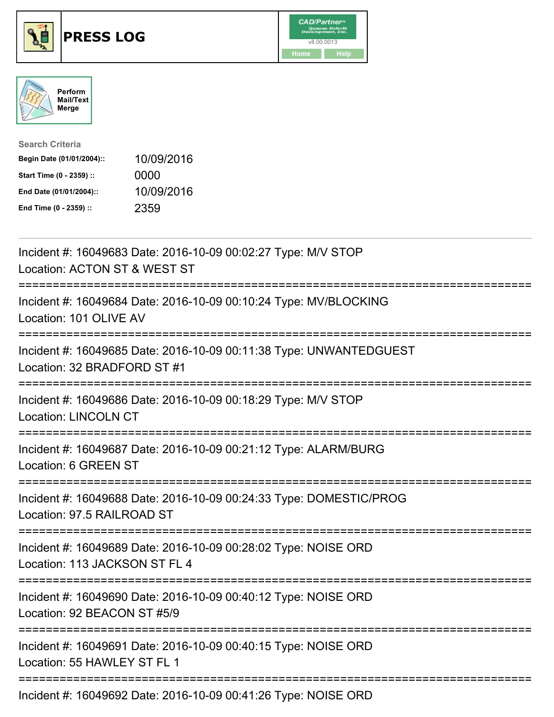





| <b>Search Criteria</b>    |            |
|---------------------------|------------|
| Begin Date (01/01/2004):: | 10/09/2016 |
| Start Time (0 - 2359) ::  | 0000       |
| End Date (01/01/2004)::   | 10/09/2016 |
| End Time (0 - 2359) ::    | 2359       |

| Incident #: 16049683 Date: 2016-10-09 00:02:27 Type: M/V STOP<br>Location: ACTON ST & WEST ST<br>:==========                 |
|------------------------------------------------------------------------------------------------------------------------------|
| Incident #: 16049684 Date: 2016-10-09 00:10:24 Type: MV/BLOCKING<br>Location: 101 OLIVE AV                                   |
| Incident #: 16049685 Date: 2016-10-09 00:11:38 Type: UNWANTEDGUEST<br>Location: 32 BRADFORD ST #1                            |
| Incident #: 16049686 Date: 2016-10-09 00:18:29 Type: M/V STOP<br><b>Location: LINCOLN CT</b>                                 |
| Incident #: 16049687 Date: 2016-10-09 00:21:12 Type: ALARM/BURG<br>Location: 6 GREEN ST                                      |
| Incident #: 16049688 Date: 2016-10-09 00:24:33 Type: DOMESTIC/PROG<br>Location: 97.5 RAILROAD ST                             |
| Incident #: 16049689 Date: 2016-10-09 00:28:02 Type: NOISE ORD<br>Location: 113 JACKSON ST FL 4<br>;======================== |
| Incident #: 16049690 Date: 2016-10-09 00:40:12 Type: NOISE ORD<br>Location: 92 BEACON ST #5/9<br>----------------------      |
| Incident #: 16049691 Date: 2016-10-09 00:40:15 Type: NOISE ORD<br>Location: 55 HAWLEY ST FL 1                                |
| Incident #: 16049692 Date: 2016-10-09 00:41:26 Type: NOISE ORD                                                               |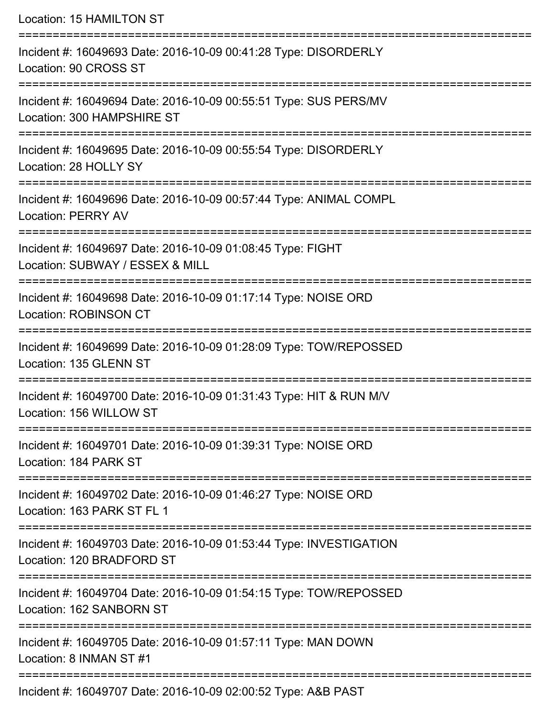| Location: 15 HAMILTON ST                                                                                                                                           |
|--------------------------------------------------------------------------------------------------------------------------------------------------------------------|
| Incident #: 16049693 Date: 2016-10-09 00:41:28 Type: DISORDERLY<br>Location: 90 CROSS ST                                                                           |
| Incident #: 16049694 Date: 2016-10-09 00:55:51 Type: SUS PERS/MV<br>Location: 300 HAMPSHIRE ST                                                                     |
| Incident #: 16049695 Date: 2016-10-09 00:55:54 Type: DISORDERLY<br>Location: 28 HOLLY SY                                                                           |
| Incident #: 16049696 Date: 2016-10-09 00:57:44 Type: ANIMAL COMPL<br><b>Location: PERRY AV</b>                                                                     |
| Incident #: 16049697 Date: 2016-10-09 01:08:45 Type: FIGHT<br>Location: SUBWAY / ESSEX & MILL<br>:=====================================<br>======================= |
| Incident #: 16049698 Date: 2016-10-09 01:17:14 Type: NOISE ORD<br><b>Location: ROBINSON CT</b>                                                                     |
| Incident #: 16049699 Date: 2016-10-09 01:28:09 Type: TOW/REPOSSED<br>Location: 135 GLENN ST                                                                        |
| ======================<br>Incident #: 16049700 Date: 2016-10-09 01:31:43 Type: HIT & RUN M/V<br>Location: 156 WILLOW ST                                            |
| :=====================================<br>Incident #: 16049701 Date: 2016-10-09 01:39:31 Type: NOISE ORD<br>Location: 184 PARK ST                                  |
| =======================<br>Incident #: 16049702 Date: 2016-10-09 01:46:27 Type: NOISE ORD<br>Location: 163 PARK ST FL 1                                            |
| Incident #: 16049703 Date: 2016-10-09 01:53:44 Type: INVESTIGATION<br>Location: 120 BRADFORD ST                                                                    |
| Incident #: 16049704 Date: 2016-10-09 01:54:15 Type: TOW/REPOSSED<br>Location: 162 SANBORN ST                                                                      |
| Incident #: 16049705 Date: 2016-10-09 01:57:11 Type: MAN DOWN<br>Location: 8 INMAN ST #1                                                                           |
|                                                                                                                                                                    |

Incident #: 16049707 Date: 2016-10-09 02:00:52 Type: A&B PAST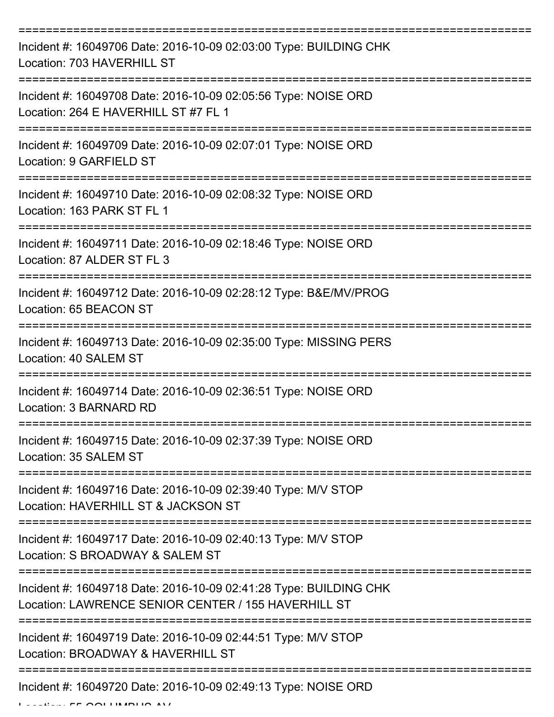| Incident #: 16049706 Date: 2016-10-09 02:03:00 Type: BUILDING CHK<br>Location: 703 HAVERHILL ST                          |
|--------------------------------------------------------------------------------------------------------------------------|
| Incident #: 16049708 Date: 2016-10-09 02:05:56 Type: NOISE ORD<br>Location: 264 E HAVERHILL ST #7 FL 1                   |
| Incident #: 16049709 Date: 2016-10-09 02:07:01 Type: NOISE ORD<br>Location: 9 GARFIELD ST                                |
| Incident #: 16049710 Date: 2016-10-09 02:08:32 Type: NOISE ORD<br>Location: 163 PARK ST FL 1                             |
| Incident #: 16049711 Date: 2016-10-09 02:18:46 Type: NOISE ORD<br>Location: 87 ALDER ST FL 3                             |
| Incident #: 16049712 Date: 2016-10-09 02:28:12 Type: B&E/MV/PROG<br>Location: 65 BEACON ST                               |
| Incident #: 16049713 Date: 2016-10-09 02:35:00 Type: MISSING PERS<br>Location: 40 SALEM ST                               |
| Incident #: 16049714 Date: 2016-10-09 02:36:51 Type: NOISE ORD<br>Location: 3 BARNARD RD                                 |
| Incident #: 16049715 Date: 2016-10-09 02:37:39 Type: NOISE ORD<br>Location: 35 SALEM ST                                  |
| Incident #: 16049716 Date: 2016-10-09 02:39:40 Type: M/V STOP<br>Location: HAVERHILL ST & JACKSON ST                     |
| Incident #: 16049717 Date: 2016-10-09 02:40:13 Type: M/V STOP<br>Location: S BROADWAY & SALEM ST                         |
| Incident #: 16049718 Date: 2016-10-09 02:41:28 Type: BUILDING CHK<br>Location: LAWRENCE SENIOR CENTER / 155 HAVERHILL ST |
| Incident #: 16049719 Date: 2016-10-09 02:44:51 Type: M/V STOP<br>Location: BROADWAY & HAVERHILL ST                       |
| Incident #: 16049720 Date: 2016-10-09 02:49:13 Type: NOISE ORD                                                           |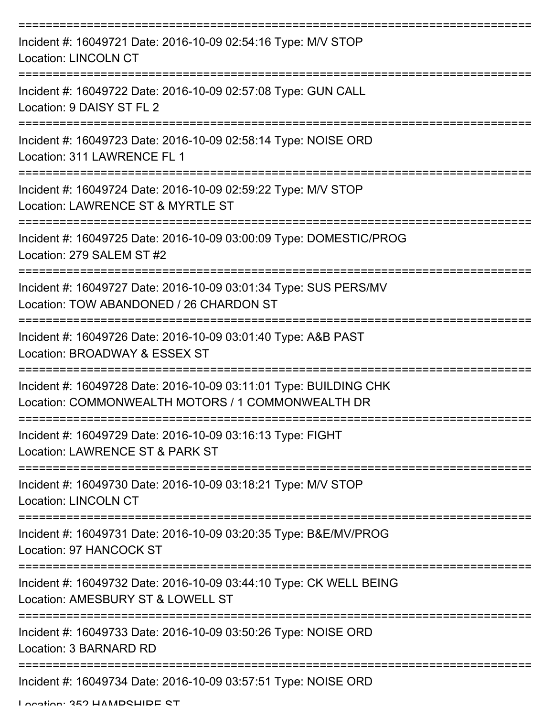| Incident #: 16049721 Date: 2016-10-09 02:54:16 Type: M/V STOP<br><b>Location: LINCOLN CT</b>                           |
|------------------------------------------------------------------------------------------------------------------------|
| Incident #: 16049722 Date: 2016-10-09 02:57:08 Type: GUN CALL<br>Location: 9 DAISY ST FL 2                             |
| Incident #: 16049723 Date: 2016-10-09 02:58:14 Type: NOISE ORD<br>Location: 311 LAWRENCE FL 1                          |
| Incident #: 16049724 Date: 2016-10-09 02:59:22 Type: M/V STOP<br>Location: LAWRENCE ST & MYRTLE ST                     |
| Incident #: 16049725 Date: 2016-10-09 03:00:09 Type: DOMESTIC/PROG<br>Location: 279 SALEM ST #2                        |
| Incident #: 16049727 Date: 2016-10-09 03:01:34 Type: SUS PERS/MV<br>Location: TOW ABANDONED / 26 CHARDON ST            |
| Incident #: 16049726 Date: 2016-10-09 03:01:40 Type: A&B PAST<br>Location: BROADWAY & ESSEX ST                         |
| Incident #: 16049728 Date: 2016-10-09 03:11:01 Type: BUILDING CHK<br>Location: COMMONWEALTH MOTORS / 1 COMMONWEALTH DR |
| Incident #: 16049729 Date: 2016-10-09 03:16:13 Type: FIGHT<br>Location: LAWRENCE ST & PARK ST                          |
| Incident #: 16049730 Date: 2016-10-09 03:18:21 Type: M/V STOP<br><b>Location: LINCOLN CT</b>                           |
| Incident #: 16049731 Date: 2016-10-09 03:20:35 Type: B&E/MV/PROG<br>Location: 97 HANCOCK ST                            |
| Incident #: 16049732 Date: 2016-10-09 03:44:10 Type: CK WELL BEING<br>Location: AMESBURY ST & LOWELL ST                |
| Incident #: 16049733 Date: 2016-10-09 03:50:26 Type: NOISE ORD<br>Location: 3 BARNARD RD                               |
| Incident #: 16049734 Date: 2016-10-09 03:57:51 Type: NOISE ORD                                                         |

Location: 352 HAMPSHIRE ST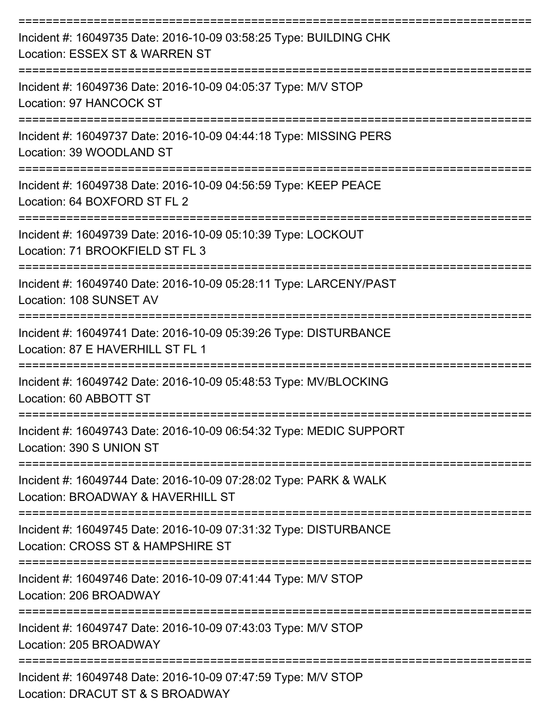| Incident #: 16049735 Date: 2016-10-09 03:58:25 Type: BUILDING CHK<br>Location: ESSEX ST & WARREN ST              |
|------------------------------------------------------------------------------------------------------------------|
| Incident #: 16049736 Date: 2016-10-09 04:05:37 Type: M/V STOP<br>Location: 97 HANCOCK ST                         |
| Incident #: 16049737 Date: 2016-10-09 04:44:18 Type: MISSING PERS<br>Location: 39 WOODLAND ST                    |
| Incident #: 16049738 Date: 2016-10-09 04:56:59 Type: KEEP PEACE<br>Location: 64 BOXFORD ST FL 2                  |
| Incident #: 16049739 Date: 2016-10-09 05:10:39 Type: LOCKOUT<br>Location: 71 BROOKFIELD ST FL 3                  |
| Incident #: 16049740 Date: 2016-10-09 05:28:11 Type: LARCENY/PAST<br>Location: 108 SUNSET AV                     |
| Incident #: 16049741 Date: 2016-10-09 05:39:26 Type: DISTURBANCE<br>Location: 87 E HAVERHILL ST FL 1             |
| Incident #: 16049742 Date: 2016-10-09 05:48:53 Type: MV/BLOCKING<br>Location: 60 ABBOTT ST                       |
| Incident #: 16049743 Date: 2016-10-09 06:54:32 Type: MEDIC SUPPORT<br>Location: 390 S UNION ST<br>-------------- |
| Incident #: 16049744 Date: 2016-10-09 07:28:02 Type: PARK & WALK<br>Location: BROADWAY & HAVERHILL ST            |
| Incident #: 16049745 Date: 2016-10-09 07:31:32 Type: DISTURBANCE<br>Location: CROSS ST & HAMPSHIRE ST            |
| Incident #: 16049746 Date: 2016-10-09 07:41:44 Type: M/V STOP<br>Location: 206 BROADWAY                          |
| Incident #: 16049747 Date: 2016-10-09 07:43:03 Type: M/V STOP<br>Location: 205 BROADWAY                          |
| Incident #: 16049748 Date: 2016-10-09 07:47:59 Type: M/V STOP<br>Location: DRACUT ST & S BROADWAY                |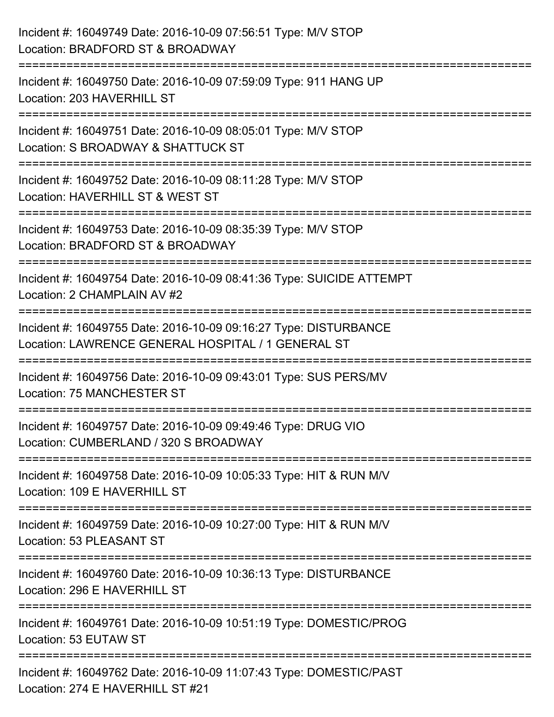| Incident #: 16049749 Date: 2016-10-09 07:56:51 Type: M/V STOP<br>Location: BRADFORD ST & BROADWAY                        |
|--------------------------------------------------------------------------------------------------------------------------|
| Incident #: 16049750 Date: 2016-10-09 07:59:09 Type: 911 HANG UP<br>Location: 203 HAVERHILL ST                           |
| Incident #: 16049751 Date: 2016-10-09 08:05:01 Type: M/V STOP<br>Location: S BROADWAY & SHATTUCK ST                      |
| Incident #: 16049752 Date: 2016-10-09 08:11:28 Type: M/V STOP<br>Location: HAVERHILL ST & WEST ST                        |
| -------------------<br>Incident #: 16049753 Date: 2016-10-09 08:35:39 Type: M/V STOP<br>Location: BRADFORD ST & BROADWAY |
| Incident #: 16049754 Date: 2016-10-09 08:41:36 Type: SUICIDE ATTEMPT<br>Location: 2 CHAMPLAIN AV #2                      |
| Incident #: 16049755 Date: 2016-10-09 09:16:27 Type: DISTURBANCE<br>Location: LAWRENCE GENERAL HOSPITAL / 1 GENERAL ST   |
| Incident #: 16049756 Date: 2016-10-09 09:43:01 Type: SUS PERS/MV<br><b>Location: 75 MANCHESTER ST</b>                    |
| Incident #: 16049757 Date: 2016-10-09 09:49:46 Type: DRUG VIO<br>Location: CUMBERLAND / 320 S BROADWAY                   |
| Incident #: 16049758 Date: 2016-10-09 10:05:33 Type: HIT & RUN M/V<br>Location: 109 E HAVERHILL ST                       |
| Incident #: 16049759 Date: 2016-10-09 10:27:00 Type: HIT & RUN M/V<br>Location: 53 PLEASANT ST                           |
| Incident #: 16049760 Date: 2016-10-09 10:36:13 Type: DISTURBANCE<br>Location: 296 E HAVERHILL ST                         |
| Incident #: 16049761 Date: 2016-10-09 10:51:19 Type: DOMESTIC/PROG<br>Location: 53 EUTAW ST                              |
| Incident #: 16049762 Date: 2016-10-09 11:07:43 Type: DOMESTIC/PAST<br>Location: 274 E HAVERHILL ST #21                   |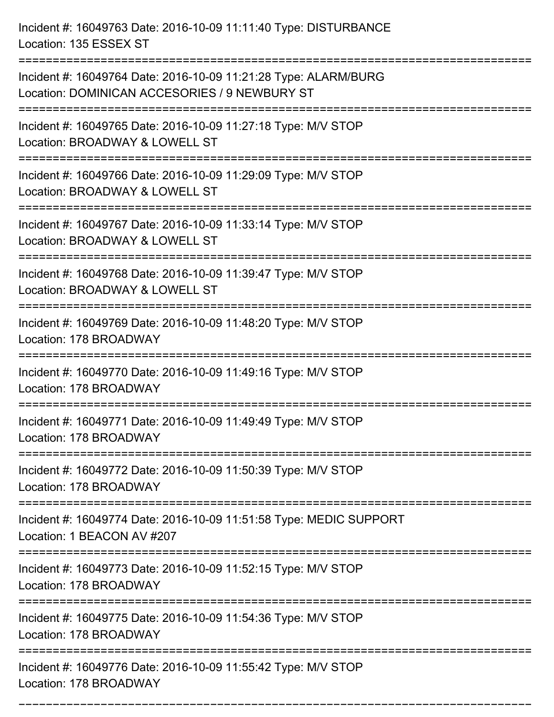Incident #: 16049763 Date: 2016-10-09 11:11:40 Type: DISTURBANCE Location: 135 ESSEX ST =========================================================================== Incident #: 16049764 Date: 2016-10-09 11:21:28 Type: ALARM/BURG Location: DOMINICAN ACCESORIES / 9 NEWBURY ST =========================================================================== Incident #: 16049765 Date: 2016-10-09 11:27:18 Type: M/V STOP Location: BROADWAY & LOWELL ST =========================================================================== Incident #: 16049766 Date: 2016-10-09 11:29:09 Type: M/V STOP Location: BROADWAY & LOWELL ST =========================================================================== Incident #: 16049767 Date: 2016-10-09 11:33:14 Type: M/V STOP Location: BROADWAY & LOWELL ST =========================================================================== Incident #: 16049768 Date: 2016-10-09 11:39:47 Type: M/V STOP Location: BROADWAY & LOWELL ST =========================================================================== Incident #: 16049769 Date: 2016-10-09 11:48:20 Type: M/V STOP Location: 178 BROADWAY =========================================================================== Incident #: 16049770 Date: 2016-10-09 11:49:16 Type: M/V STOP Location: 178 BROADWAY =========================================================================== Incident #: 16049771 Date: 2016-10-09 11:49:49 Type: M/V STOP Location: 178 BROADWAY =========================================================================== Incident #: 16049772 Date: 2016-10-09 11:50:39 Type: M/V STOP Location: 178 BROADWAY =========================================================================== Incident #: 16049774 Date: 2016-10-09 11:51:58 Type: MEDIC SUPPORT Location: 1 BEACON AV #207 =========================================================================== Incident #: 16049773 Date: 2016-10-09 11:52:15 Type: M/V STOP Location: 178 BROADWAY =========================================================================== Incident #: 16049775 Date: 2016-10-09 11:54:36 Type: M/V STOP Location: 178 BROADWAY =========================================================================== Incident #: 16049776 Date: 2016-10-09 11:55:42 Type: M/V STOP Location: 178 BROADWAY

===========================================================================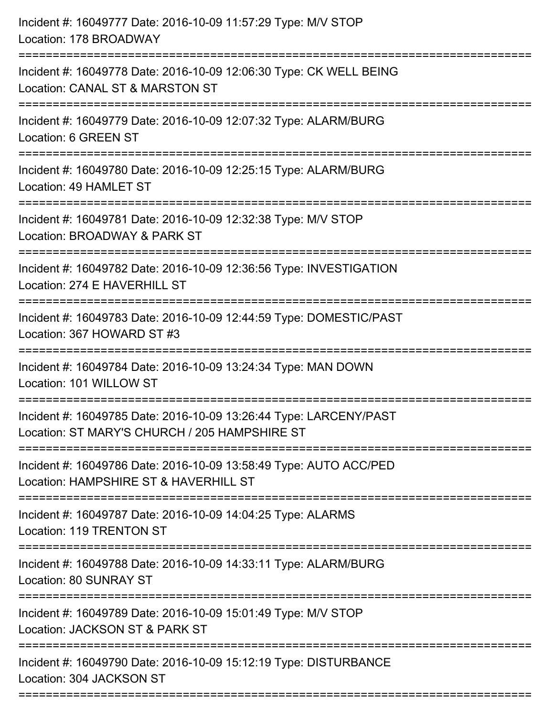| Incident #: 16049777 Date: 2016-10-09 11:57:29 Type: M/V STOP<br>Location: 178 BROADWAY                                              |
|--------------------------------------------------------------------------------------------------------------------------------------|
| Incident #: 16049778 Date: 2016-10-09 12:06:30 Type: CK WELL BEING<br>Location: CANAL ST & MARSTON ST                                |
| Incident #: 16049779 Date: 2016-10-09 12:07:32 Type: ALARM/BURG<br>Location: 6 GREEN ST                                              |
| Incident #: 16049780 Date: 2016-10-09 12:25:15 Type: ALARM/BURG<br>Location: 49 HAMLET ST                                            |
| Incident #: 16049781 Date: 2016-10-09 12:32:38 Type: M/V STOP<br>Location: BROADWAY & PARK ST<br>.-----------------------------      |
| Incident #: 16049782 Date: 2016-10-09 12:36:56 Type: INVESTIGATION<br>Location: 274 E HAVERHILL ST                                   |
| Incident #: 16049783 Date: 2016-10-09 12:44:59 Type: DOMESTIC/PAST<br>Location: 367 HOWARD ST #3                                     |
| Incident #: 16049784 Date: 2016-10-09 13:24:34 Type: MAN DOWN<br>Location: 101 WILLOW ST                                             |
| Incident #: 16049785 Date: 2016-10-09 13:26:44 Type: LARCENY/PAST<br>Location: ST MARY'S CHURCH / 205 HAMPSHIRE ST                   |
| Incident #: 16049786 Date: 2016-10-09 13:58:49 Type: AUTO ACC/PED<br>Location: HAMPSHIRE ST & HAVERHILL ST                           |
| Incident #: 16049787 Date: 2016-10-09 14:04:25 Type: ALARMS<br>Location: 119 TRENTON ST                                              |
| Incident #: 16049788 Date: 2016-10-09 14:33:11 Type: ALARM/BURG<br><b>Location: 80 SUNRAY ST</b><br>-------------------------------- |
| Incident #: 16049789 Date: 2016-10-09 15:01:49 Type: M/V STOP<br>Location: JACKSON ST & PARK ST                                      |
| Incident #: 16049790 Date: 2016-10-09 15:12:19 Type: DISTURBANCE<br>Location: 304 JACKSON ST                                         |
|                                                                                                                                      |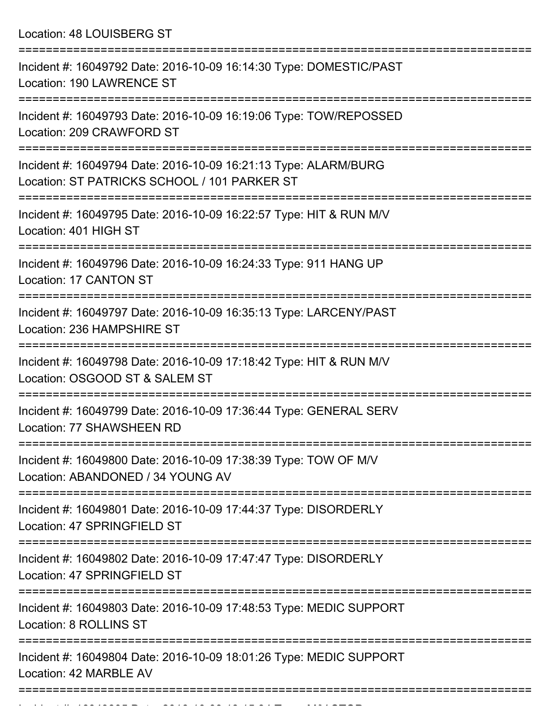Location: 48 LOUISBERG ST

| Incident #: 16049792 Date: 2016-10-09 16:14:30 Type: DOMESTIC/PAST<br><b>Location: 190 LAWRENCE ST</b>          |
|-----------------------------------------------------------------------------------------------------------------|
| Incident #: 16049793 Date: 2016-10-09 16:19:06 Type: TOW/REPOSSED<br>Location: 209 CRAWFORD ST                  |
| Incident #: 16049794 Date: 2016-10-09 16:21:13 Type: ALARM/BURG<br>Location: ST PATRICKS SCHOOL / 101 PARKER ST |
| Incident #: 16049795 Date: 2016-10-09 16:22:57 Type: HIT & RUN M/V<br>Location: 401 HIGH ST                     |
| Incident #: 16049796 Date: 2016-10-09 16:24:33 Type: 911 HANG UP<br>Location: 17 CANTON ST                      |
| Incident #: 16049797 Date: 2016-10-09 16:35:13 Type: LARCENY/PAST<br>Location: 236 HAMPSHIRE ST                 |
| Incident #: 16049798 Date: 2016-10-09 17:18:42 Type: HIT & RUN M/V<br>Location: OSGOOD ST & SALEM ST            |
| Incident #: 16049799 Date: 2016-10-09 17:36:44 Type: GENERAL SERV<br>Location: 77 SHAWSHEEN RD                  |
| Incident #: 16049800 Date: 2016-10-09 17:38:39 Type: TOW OF M/V<br>Location: ABANDONED / 34 YOUNG AV            |
| Incident #: 16049801 Date: 2016-10-09 17:44:37 Type: DISORDERLY<br>Location: 47 SPRINGFIELD ST                  |
| Incident #: 16049802 Date: 2016-10-09 17:47:47 Type: DISORDERLY<br>Location: 47 SPRINGFIELD ST                  |
| Incident #: 16049803 Date: 2016-10-09 17:48:53 Type: MEDIC SUPPORT<br>Location: 8 ROLLINS ST                    |
| Incident #: 16049804 Date: 2016-10-09 18:01:26 Type: MEDIC SUPPORT<br>Location: 42 MARBLE AV                    |
|                                                                                                                 |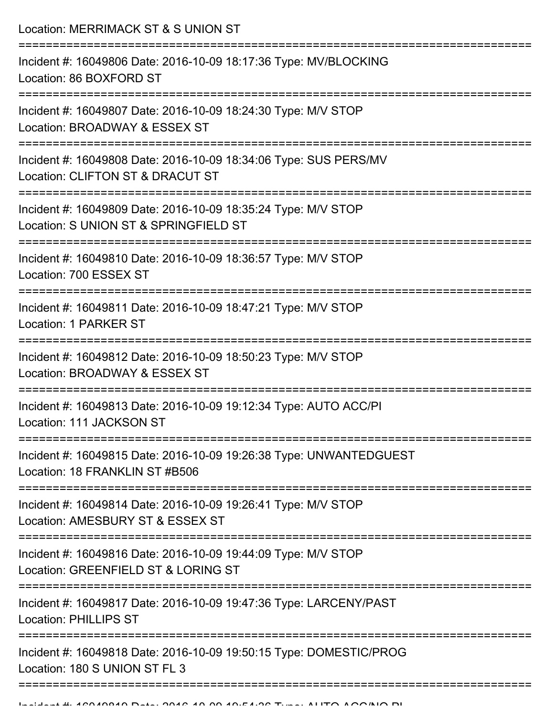Location: MERRIMACK ST & S UNION ST =========================================================================== Incident #: 16049806 Date: 2016-10-09 18:17:36 Type: MV/BLOCKING Location: 86 BOXFORD ST =========================================================================== Incident #: 16049807 Date: 2016-10-09 18:24:30 Type: M/V STOP Location: BROADWAY & ESSEX ST =========================================================================== Incident #: 16049808 Date: 2016-10-09 18:34:06 Type: SUS PERS/MV Location: CLIFTON ST & DRACUT ST =========================================================================== Incident #: 16049809 Date: 2016-10-09 18:35:24 Type: M/V STOP Location: S UNION ST & SPRINGFIELD ST =========================================================================== Incident #: 16049810 Date: 2016-10-09 18:36:57 Type: M/V STOP Location: 700 ESSEX ST =========================================================================== Incident #: 16049811 Date: 2016-10-09 18:47:21 Type: M/V STOP Location: 1 PARKER ST

===========================================================================

Incident #: 16049812 Date: 2016-10-09 18:50:23 Type: M/V STOP Location: BROADWAY & ESSEX ST

===========================================================================

Incident #: 16049813 Date: 2016-10-09 19:12:34 Type: AUTO ACC/PI

Location: 111 JACKSON ST

===========================================================================

Incident #: 16049815 Date: 2016-10-09 19:26:38 Type: UNWANTEDGUEST Location: 18 FRANKLIN ST #B506

===========================================================================

Incident #: 16049814 Date: 2016-10-09 19:26:41 Type: M/V STOP Location: AMESBURY ST & ESSEX ST

===========================================================================

Incident #: 16049816 Date: 2016-10-09 19:44:09 Type: M/V STOP

Location: GREENFIELD ST & LORING ST

===========================================================================

Incident #: 16049817 Date: 2016-10-09 19:47:36 Type: LARCENY/PAST Location: PHILLIPS ST

===========================================================================

===================================

Incident #: 16049818 Date: 2016-10-09 19:50:15 Type: DOMESTIC/PROG Location: 180 S UNION ST FL 3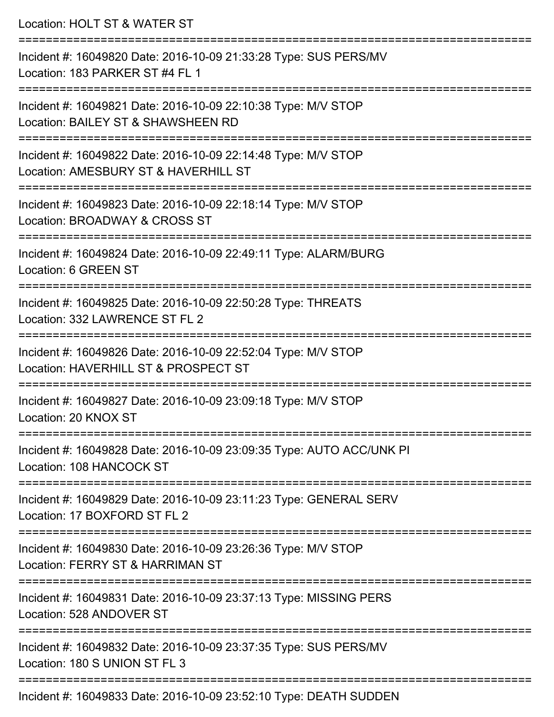| Location: HOLT ST & WATER ST                                                                                                                              |
|-----------------------------------------------------------------------------------------------------------------------------------------------------------|
| Incident #: 16049820 Date: 2016-10-09 21:33:28 Type: SUS PERS/MV<br>Location: 183 PARKER ST #4 FL 1                                                       |
| Incident #: 16049821 Date: 2016-10-09 22:10:38 Type: M/V STOP<br>Location: BAILEY ST & SHAWSHEEN RD<br>:=====================                             |
| Incident #: 16049822 Date: 2016-10-09 22:14:48 Type: M/V STOP<br>Location: AMESBURY ST & HAVERHILL ST                                                     |
| Incident #: 16049823 Date: 2016-10-09 22:18:14 Type: M/V STOP<br>Location: BROADWAY & CROSS ST                                                            |
| :======================<br>Incident #: 16049824 Date: 2016-10-09 22:49:11 Type: ALARM/BURG<br>Location: 6 GREEN ST                                        |
| Incident #: 16049825 Date: 2016-10-09 22:50:28 Type: THREATS<br>Location: 332 LAWRENCE ST FL 2<br>:===================<br>=============================== |
| Incident #: 16049826 Date: 2016-10-09 22:52:04 Type: M/V STOP<br>Location: HAVERHILL ST & PROSPECT ST                                                     |
| Incident #: 16049827 Date: 2016-10-09 23:09:18 Type: M/V STOP<br>Location: 20 KNOX ST                                                                     |
| Incident #: 16049828 Date: 2016-10-09 23:09:35 Type: AUTO ACC/UNK PI<br>Location: 108 HANCOCK ST                                                          |
| Incident #: 16049829 Date: 2016-10-09 23:11:23 Type: GENERAL SERV<br>Location: 17 BOXFORD ST FL 2                                                         |
| Incident #: 16049830 Date: 2016-10-09 23:26:36 Type: M/V STOP<br>Location: FERRY ST & HARRIMAN ST                                                         |
| Incident #: 16049831 Date: 2016-10-09 23:37:13 Type: MISSING PERS<br>Location: 528 ANDOVER ST                                                             |
| Incident #: 16049832 Date: 2016-10-09 23:37:35 Type: SUS PERS/MV<br>Location: 180 S UNION ST FL 3                                                         |
|                                                                                                                                                           |

Incident #: 16049833 Date: 2016-10-09 23:52:10 Type: DEATH SUDDEN